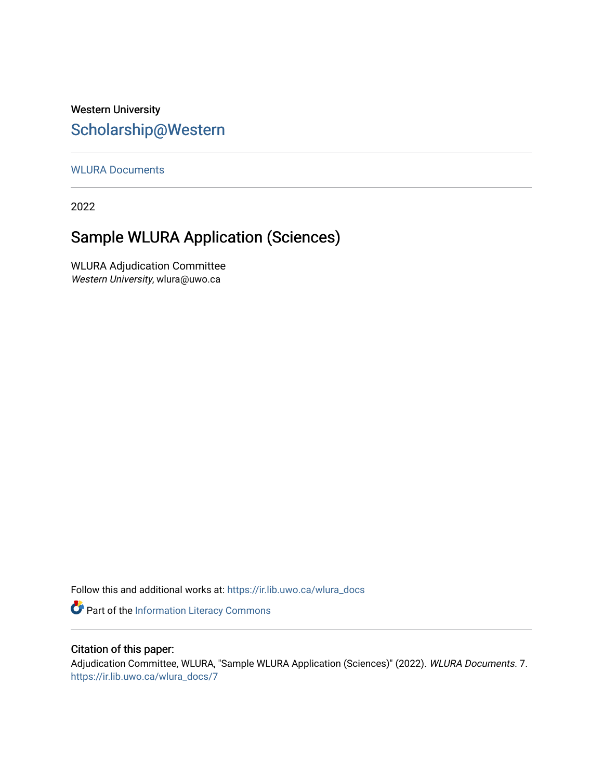## Western University [Scholarship@Western](https://ir.lib.uwo.ca/)

[WLURA Documents](https://ir.lib.uwo.ca/wlura_docs)

2022

# Sample WLURA Application (Sciences)

WLURA Adjudication Committee Western University, wlura@uwo.ca

Follow this and additional works at: [https://ir.lib.uwo.ca/wlura\\_docs](https://ir.lib.uwo.ca/wlura_docs?utm_source=ir.lib.uwo.ca%2Fwlura_docs%2F7&utm_medium=PDF&utm_campaign=PDFCoverPages) 

Part of the [Information Literacy Commons](http://network.bepress.com/hgg/discipline/1243?utm_source=ir.lib.uwo.ca%2Fwlura_docs%2F7&utm_medium=PDF&utm_campaign=PDFCoverPages)

### Citation of this paper:

Adjudication Committee, WLURA, "Sample WLURA Application (Sciences)" (2022). WLURA Documents. 7. [https://ir.lib.uwo.ca/wlura\\_docs/7](https://ir.lib.uwo.ca/wlura_docs/7?utm_source=ir.lib.uwo.ca%2Fwlura_docs%2F7&utm_medium=PDF&utm_campaign=PDFCoverPages)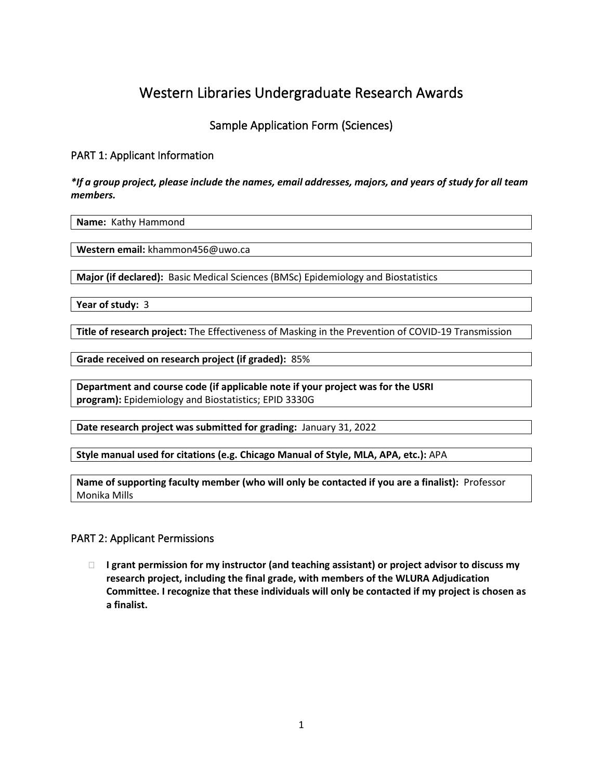# Western Libraries Undergraduate Research Awards

### Sample Application Form (Sciences)

### PART 1: Applicant Information

#### *\*If a group project, please include the names, email addresses, majors, and years of study for all team members.*

**Name:** Kathy Hammond

**Western email:** khammon456@uwo.ca

**Major (if declared):** Basic Medical Sciences (BMSc) Epidemiology and Biostatistics

**Year of study:** 3

**Title of research project:** The Effectiveness of Masking in the Prevention of COVID-19 Transmission

**Grade received on research project (if graded):** 85%

**Department and course code (if applicable note if your project was for the USRI program):** Epidemiology and Biostatistics; EPID 3330G

**Date research project was submitted for grading:** January 31, 2022

**Style manual used for citations (e.g. Chicago Manual of Style, MLA, APA, etc.):** APA

**Name of supporting faculty member (who will only be contacted if you are a finalist):** Professor Monika Mills

#### PART 2: Applicant Permissions

 **I grant permission for my instructor (and teaching assistant) or project advisor to discuss my research project, including the final grade, with members of the WLURA Adjudication Committee. I recognize that these individuals will only be contacted if my project is chosen as a finalist.**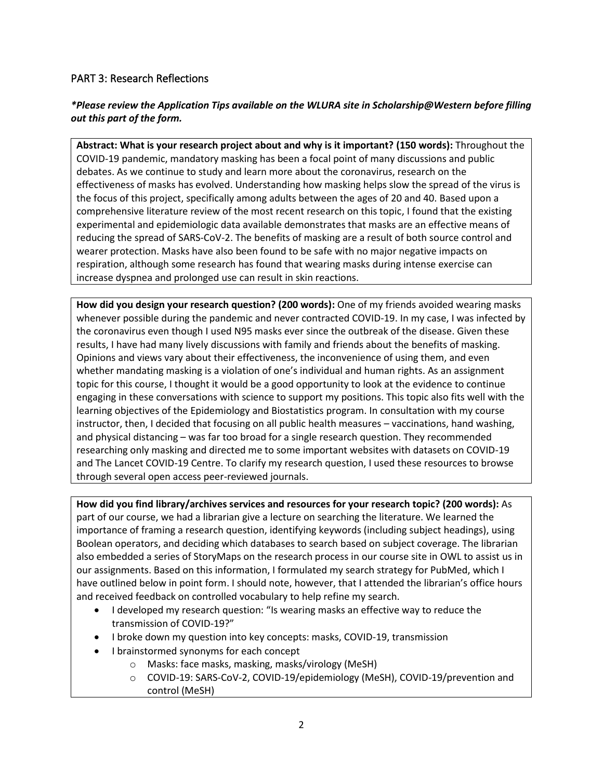#### PART 3: Research Reflections

### *\*Please review the Application Tips available on the WLURA site in Scholarship@Western before filling out this part of the form.*

**Abstract: What is your research project about and why is it important? (150 words):** Throughout the COVID-19 pandemic, mandatory masking has been a focal point of many discussions and public debates. As we continue to study and learn more about the coronavirus, research on the effectiveness of masks has evolved. Understanding how masking helps slow the spread of the virus is the focus of this project, specifically among adults between the ages of 20 and 40. Based upon a comprehensive literature review of the most recent research on this topic, I found that the existing experimental and epidemiologic data available demonstrates that masks are an effective means of reducing the spread of SARS-CoV-2. The benefits of masking are a result of both source control and wearer protection. Masks have also been found to be safe with no major negative impacts on respiration, although some research has found that wearing masks during intense exercise can increase dyspnea and prolonged use can result in skin reactions.

**How did you design your research question? (200 words):** One of my friends avoided wearing masks whenever possible during the pandemic and never contracted COVID-19. In my case, I was infected by the coronavirus even though I used N95 masks ever since the outbreak of the disease. Given these results, I have had many lively discussions with family and friends about the benefits of masking. Opinions and views vary about their effectiveness, the inconvenience of using them, and even whether mandating masking is a violation of one's individual and human rights. As an assignment topic for this course, I thought it would be a good opportunity to look at the evidence to continue engaging in these conversations with science to support my positions. This topic also fits well with the learning objectives of the Epidemiology and Biostatistics program. In consultation with my course instructor, then, I decided that focusing on all public health measures – vaccinations, hand washing, and physical distancing – was far too broad for a single research question. They recommended researching only masking and directed me to some important websites with datasets on COVID-19 and The Lancet COVID-19 Centre. To clarify my research question, I used these resources to browse through several open access peer-reviewed journals.

**How did you find library/archives services and resources for your research topic? (200 words):** As part of our course, we had a librarian give a lecture on searching the literature. We learned the importance of framing a research question, identifying keywords (including subject headings), using Boolean operators, and deciding which databases to search based on subject coverage. The librarian also embedded a series of StoryMaps on the research process in our course site in OWL to assist us in our assignments. Based on this information, I formulated my search strategy for PubMed, which I have outlined below in point form. I should note, however, that I attended the librarian's office hours and received feedback on controlled vocabulary to help refine my search.

- I developed my research question: "Is wearing masks an effective way to reduce the transmission of COVID-19?"
- I broke down my question into key concepts: masks, COVID-19, transmission
- I brainstormed synonyms for each concept
	- o Masks: face masks, masking, masks/virology (MeSH)
	- o COVID-19: SARS-CoV-2, COVID-19/epidemiology (MeSH), COVID-19/prevention and control (MeSH)